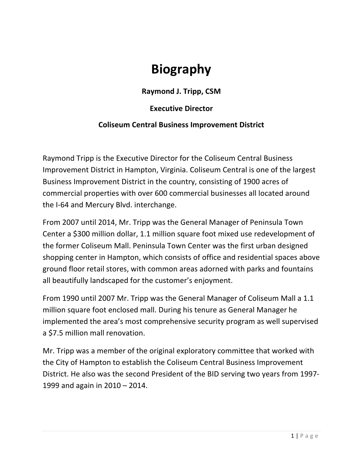## **Biography**

**Raymond J. Tripp, CSM** 

## **Executive Director**

## **Coliseum Central Business Improvement District**

Raymond Tripp is the Executive Director for the Coliseum Central Business Improvement District in Hampton, Virginia. Coliseum Central is one of the largest Business Improvement District in the country, consisting of 1900 acres of commercial properties with over 600 commercial businesses all located around the I-64 and Mercury Blvd. interchange.

From 2007 until 2014, Mr. Tripp was the General Manager of Peninsula Town Center a \$300 million dollar, 1.1 million square foot mixed use redevelopment of the former Coliseum Mall. Peninsula Town Center was the first urban designed shopping center in Hampton, which consists of office and residential spaces above ground floor retail stores, with common areas adorned with parks and fountains all beautifully landscaped for the customer's enjoyment.

From 1990 until 2007 Mr. Tripp was the General Manager of Coliseum Mall a 1.1 million square foot enclosed mall. During his tenure as General Manager he implemented the area's most comprehensive security program as well supervised a \$7.5 million mall renovation.

Mr. Tripp was a member of the original exploratory committee that worked with the City of Hampton to establish the Coliseum Central Business Improvement District. He also was the second President of the BID serving two years from 1997-1999 and again in  $2010 - 2014$ .